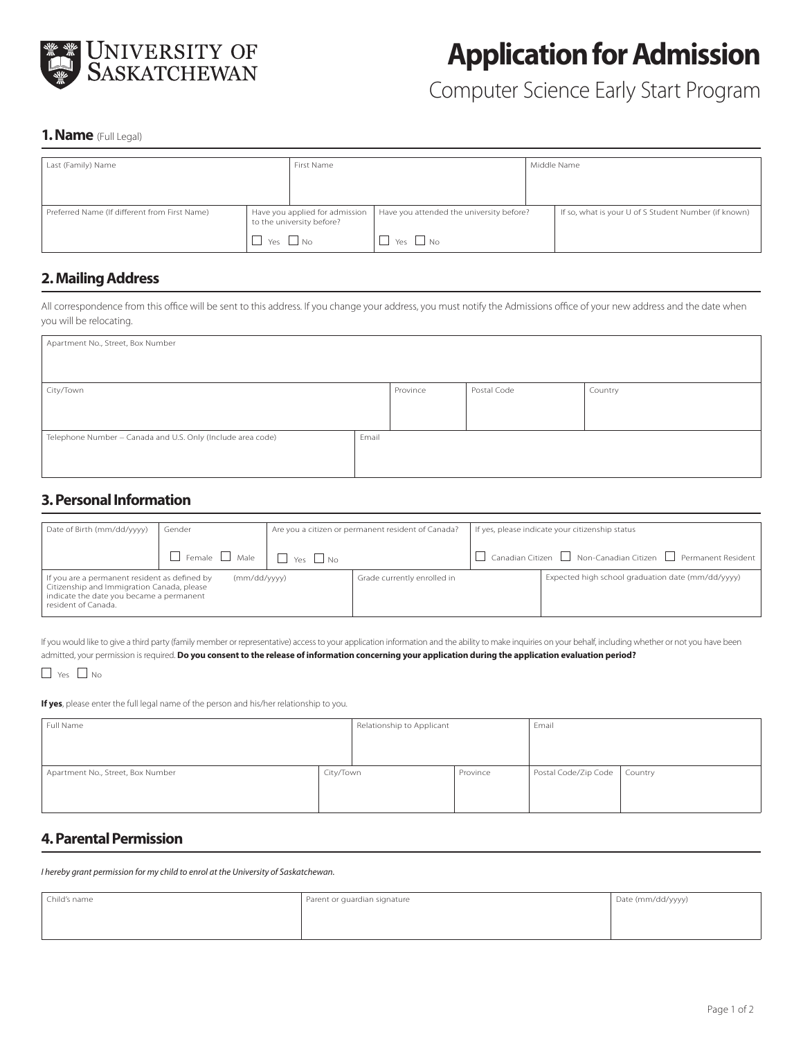

# **Application for Admission**

# Computer Science Early Start Program

#### **1. Name** (Full Legal)

| Last (Family) Name                            |                                                             | First Name |                                          |  | Middle Name                                          |  |  |
|-----------------------------------------------|-------------------------------------------------------------|------------|------------------------------------------|--|------------------------------------------------------|--|--|
|                                               |                                                             |            |                                          |  |                                                      |  |  |
|                                               |                                                             |            |                                          |  |                                                      |  |  |
|                                               |                                                             |            |                                          |  |                                                      |  |  |
| Preferred Name (If different from First Name) | Have you applied for admission<br>to the university before? |            | Have you attended the university before? |  | If so, what is your U of S Student Number (if known) |  |  |
|                                               | Yes                                                         |            | $\vert$ Yes $\Box$ No                    |  |                                                      |  |  |

#### **2. Mailing Address**

All correspondence from this office will be sent to this address. If you change your address, you must notify the Admissions office of your new address and the date when you will be relocating.

| Apartment No., Street, Box Number                           |          |             |         |  |  |  |  |
|-------------------------------------------------------------|----------|-------------|---------|--|--|--|--|
| City/Town                                                   | Province | Postal Code | Country |  |  |  |  |
| Telephone Number - Canada and U.S. Only (Include area code) | Email    |             |         |  |  |  |  |

# **3. Personal Information**

| Date of Birth (mm/dd/yyyy)                                                                                                                                                     | Gender                                                |                             | Are you a citizen or permanent resident of Canada? | If yes, please indicate your citizenship status   |                                                                  |
|--------------------------------------------------------------------------------------------------------------------------------------------------------------------------------|-------------------------------------------------------|-----------------------------|----------------------------------------------------|---------------------------------------------------|------------------------------------------------------------------|
|                                                                                                                                                                                |                                                       |                             |                                                    |                                                   |                                                                  |
|                                                                                                                                                                                | $\Box$ Female $\Box$ Male $\Box$ $\Box$ Yes $\Box$ No |                             |                                                    |                                                   | L Canadian Citizen LL Non-Canadian Citizen LL Permanent Resident |
| If you are a permanent resident as defined by<br>(mm/dd/yyyy)<br>Citizenship and Immigration Canada, please<br>indicate the date you became a permanent<br>resident of Canada. |                                                       | Grade currently enrolled in |                                                    | Expected high school graduation date (mm/dd/yyyy) |                                                                  |

If you would like to give a third party (family member or representative) access to your application information and the ability to make inquiries on your behalf, including whether or not you have been admitted, your permission is required. **Do you consent to the release of information concerning your application during the application evaluation period?**

#### $\Box$  Yes  $\Box$  No

**If yes**, please enter the full legal name of the person and his/her relationship to you.

| Full Name                         |           | Relationship to Applicant |          | Email                |         |
|-----------------------------------|-----------|---------------------------|----------|----------------------|---------|
|                                   |           |                           |          |                      |         |
| Apartment No., Street, Box Number | City/Town |                           | Province | Postal Code/Zip Code | Country |
|                                   |           |                           |          |                      |         |

# **4. Parental Permission**

*I hereby grant permission for my child to enrol at the University of Saskatchewan.*

| Child's name | Parent or guardian signature | Date (mm/dd/yyyy) |
|--------------|------------------------------|-------------------|
|              |                              |                   |
|              |                              |                   |